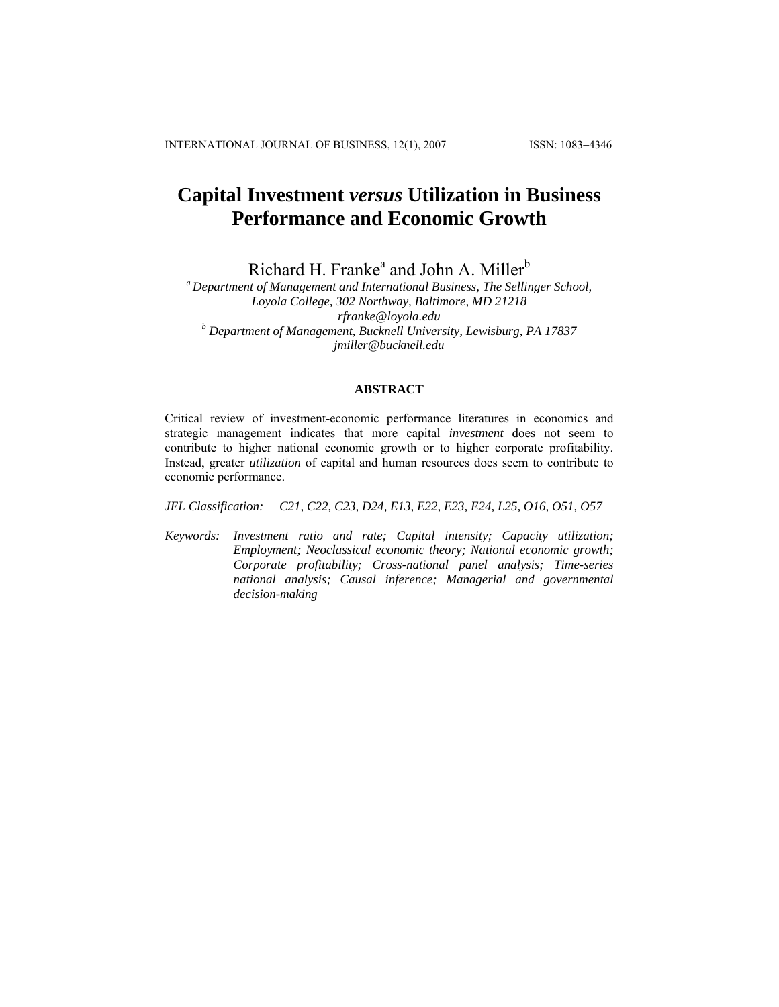# **Capital Investment** *versus* **Utilization in Business Performance and Economic Growth**

Richard H. Franke<sup>a</sup> and John A. Miller<sup>b</sup>

*a Department of Management and International Business, The Sellinger School, Loyola College, 302 Northway, Baltimore, MD 21218 [rfranke@loyola.edu](mailto:rfranke@loyola.edu) <sup>b</sup> Department of Management, Bucknell University, Lewisburg, PA 17837 [jmiller@bucknell.edu](mailto:jmiller@bucknell.edu)*

#### **ABSTRACT**

Critical review of investment-economic performance literatures in economics and strategic management indicates that more capital *investment* does not seem to contribute to higher national economic growth or to higher corporate profitability. Instead, greater *utilization* of capital and human resources does seem to contribute to economic performance.

*JEL Classification: C21, C22, C23, D24, E13, E22, E23, E24, L25, O16, O51, O57* 

*Keywords: Investment ratio and rate; Capital intensity; Capacity utilization; Employment; Neoclassical economic theory; National economic growth; Corporate profitability; Cross-national panel analysis; Time-series national analysis; Causal inference; Managerial and governmental decision-making*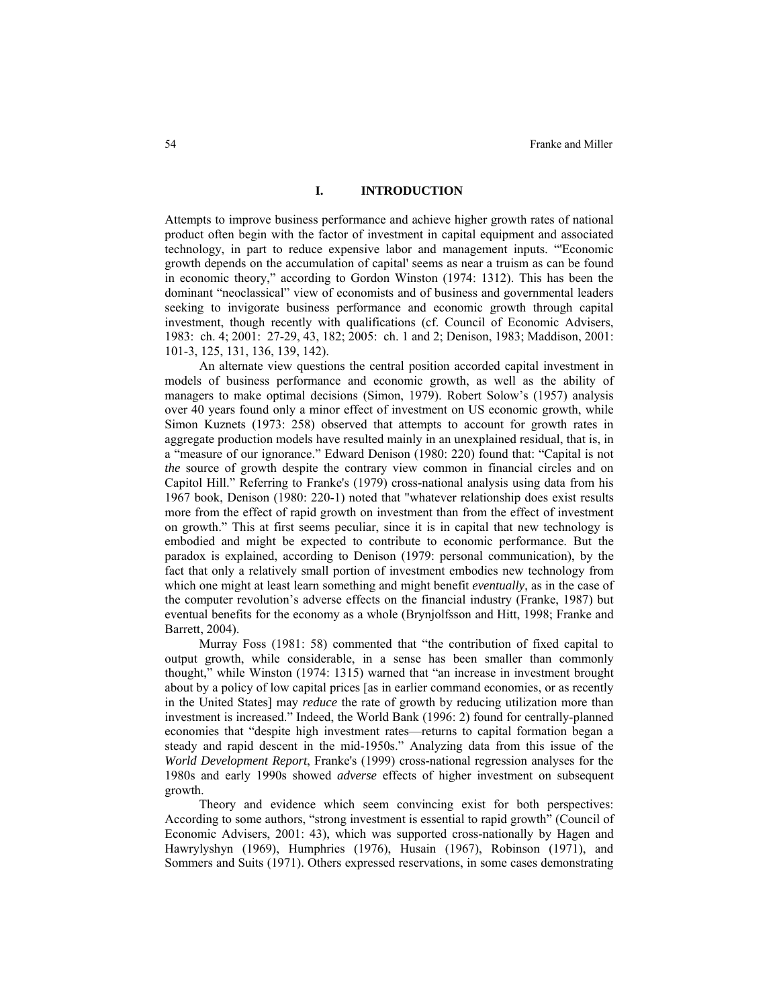# **I. INTRODUCTION**

Attempts to improve business performance and achieve higher growth rates of national product often begin with the factor of investment in capital equipment and associated technology, in part to reduce expensive labor and management inputs. "'Economic growth depends on the accumulation of capital' seems as near a truism as can be found in economic theory," according to Gordon Winston (1974: 1312). This has been the dominant "neoclassical" view of economists and of business and governmental leaders seeking to invigorate business performance and economic growth through capital investment, though recently with qualifications (cf. Council of Economic Advisers, 1983: ch. 4; 2001: 27-29, 43, 182; 2005: ch. 1 and 2; Denison, 1983; Maddison, 2001: 101-3, 125, 131, 136, 139, 142).

An alternate view questions the central position accorded capital investment in models of business performance and economic growth, as well as the ability of managers to make optimal decisions (Simon, 1979). Robert Solow's (1957) analysis over 40 years found only a minor effect of investment on US economic growth, while Simon Kuznets (1973: 258) observed that attempts to account for growth rates in aggregate production models have resulted mainly in an unexplained residual, that is, in a "measure of our ignorance." Edward Denison (1980: 220) found that: "Capital is not *the* source of growth despite the contrary view common in financial circles and on Capitol Hill." Referring to Franke's (1979) cross-national analysis using data from his 1967 book, Denison (1980: 220-1) noted that "whatever relationship does exist results more from the effect of rapid growth on investment than from the effect of investment on growth." This at first seems peculiar, since it is in capital that new technology is embodied and might be expected to contribute to economic performance. But the paradox is explained, according to Denison (1979: personal communication), by the fact that only a relatively small portion of investment embodies new technology from which one might at least learn something and might benefit *eventually*, as in the case of the computer revolution's adverse effects on the financial industry (Franke, 1987) but eventual benefits for the economy as a whole (Brynjolfsson and Hitt, 1998; Franke and Barrett, 2004).

Murray Foss (1981: 58) commented that "the contribution of fixed capital to output growth, while considerable, in a sense has been smaller than commonly thought," while Winston (1974: 1315) warned that "an increase in investment brought about by a policy of low capital prices [as in earlier command economies, or as recently in the United States] may *reduce* the rate of growth by reducing utilization more than investment is increased." Indeed, the World Bank (1996: 2) found for centrally-planned economies that "despite high investment rates—returns to capital formation began a steady and rapid descent in the mid-1950s." Analyzing data from this issue of the *World Development Report*, Franke's (1999) cross-national regression analyses for the 1980s and early 1990s showed *adverse* effects of higher investment on subsequent growth.

Theory and evidence which seem convincing exist for both perspectives: According to some authors, "strong investment is essential to rapid growth" (Council of Economic Advisers, 2001: 43), which was supported cross-nationally by Hagen and Hawrylyshyn (1969), Humphries (1976), Husain (1967), Robinson (1971), and Sommers and Suits (1971). Others expressed reservations, in some cases demonstrating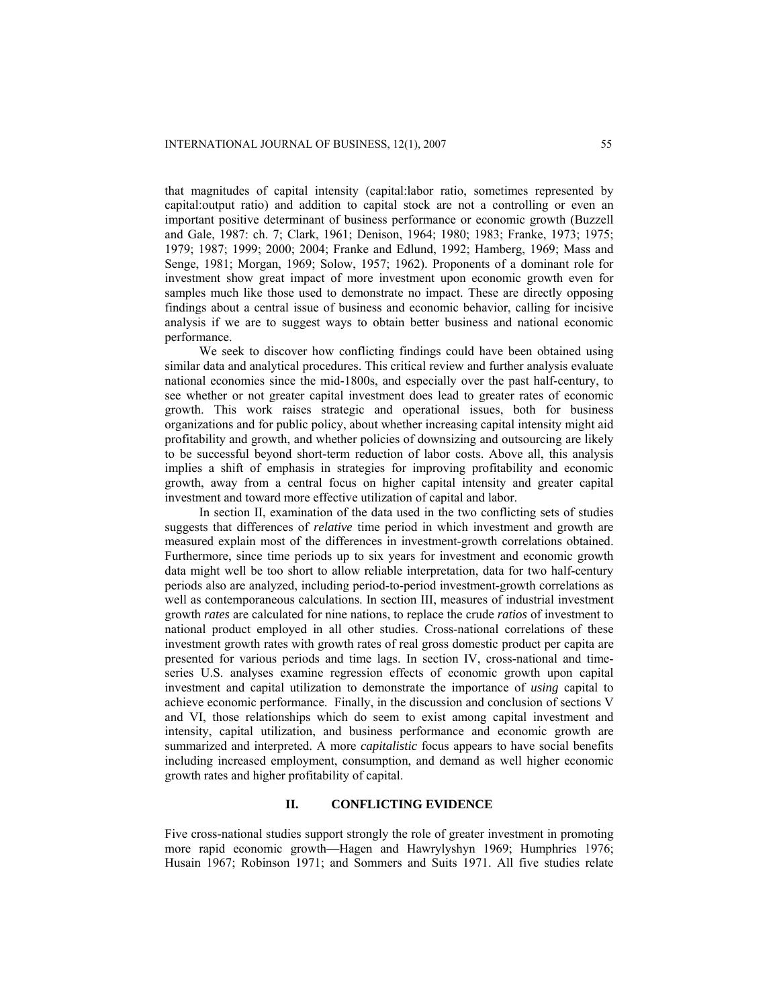that magnitudes of capital intensity (capital:labor ratio, sometimes represented by capital:output ratio) and addition to capital stock are not a controlling or even an important positive determinant of business performance or economic growth (Buzzell and Gale, 1987: ch. 7; Clark, 1961; Denison, 1964; 1980; 1983; Franke, 1973; 1975; 1979; 1987; 1999; 2000; 2004; Franke and Edlund, 1992; Hamberg, 1969; Mass and Senge, 1981; Morgan, 1969; Solow, 1957; 1962). Proponents of a dominant role for investment show great impact of more investment upon economic growth even for samples much like those used to demonstrate no impact. These are directly opposing findings about a central issue of business and economic behavior, calling for incisive analysis if we are to suggest ways to obtain better business and national economic performance.

We seek to discover how conflicting findings could have been obtained using similar data and analytical procedures. This critical review and further analysis evaluate national economies since the mid-1800s, and especially over the past half-century, to see whether or not greater capital investment does lead to greater rates of economic growth. This work raises strategic and operational issues, both for business organizations and for public policy, about whether increasing capital intensity might aid profitability and growth, and whether policies of downsizing and outsourcing are likely to be successful beyond short-term reduction of labor costs. Above all, this analysis implies a shift of emphasis in strategies for improving profitability and economic growth, away from a central focus on higher capital intensity and greater capital investment and toward more effective utilization of capital and labor.

In section II, examination of the data used in the two conflicting sets of studies suggests that differences of *relative* time period in which investment and growth are measured explain most of the differences in investment-growth correlations obtained. Furthermore, since time periods up to six years for investment and economic growth data might well be too short to allow reliable interpretation, data for two half-century periods also are analyzed, including period-to-period investment-growth correlations as well as contemporaneous calculations. In section III, measures of industrial investment growth *rates* are calculated for nine nations, to replace the crude *ratios* of investment to national product employed in all other studies. Cross-national correlations of these investment growth rates with growth rates of real gross domestic product per capita are presented for various periods and time lags. In section IV, cross-national and timeseries U.S. analyses examine regression effects of economic growth upon capital investment and capital utilization to demonstrate the importance of *using* capital to achieve economic performance. Finally, in the discussion and conclusion of sections V and VI, those relationships which do seem to exist among capital investment and intensity, capital utilization, and business performance and economic growth are summarized and interpreted. A more *capitalistic* focus appears to have social benefits including increased employment, consumption, and demand as well higher economic growth rates and higher profitability of capital.

# **II. CONFLICTING EVIDENCE**

Five cross-national studies support strongly the role of greater investment in promoting more rapid economic growth—Hagen and Hawrylyshyn 1969; Humphries 1976; Husain 1967; Robinson 1971; and Sommers and Suits 1971. All five studies relate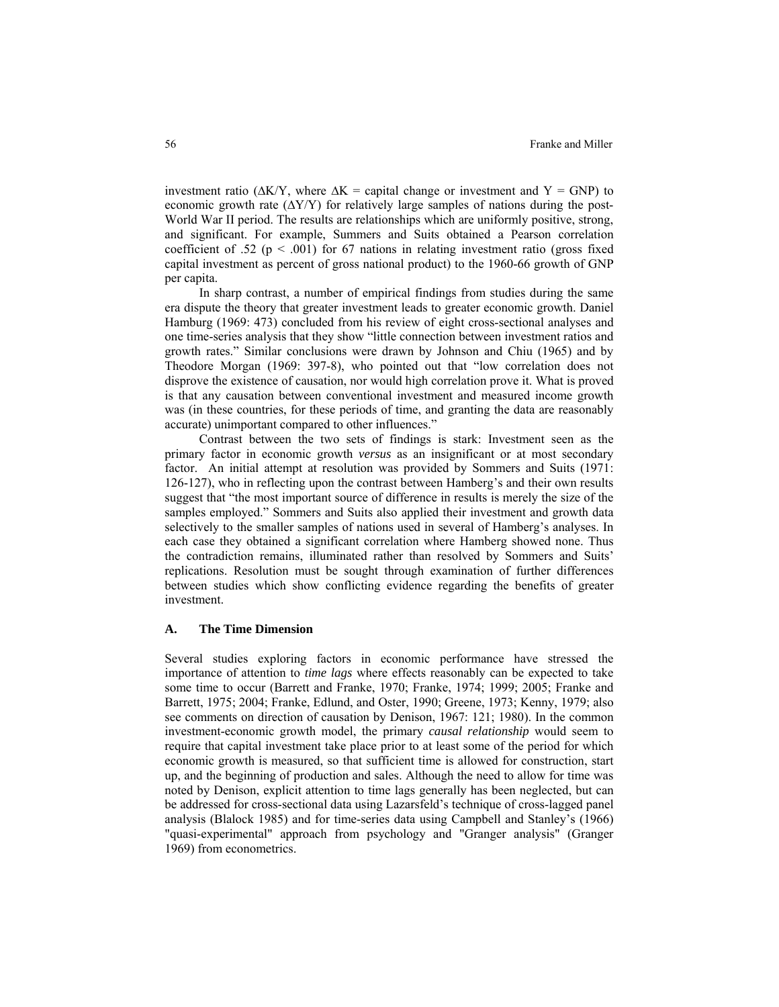investment ratio ( $\Delta$ K/Y, where  $\Delta$ K = capital change or investment and Y = GNP) to economic growth rate  $(\Delta Y/Y)$  for relatively large samples of nations during the post-World War II period. The results are relationships which are uniformly positive, strong, and significant. For example, Summers and Suits obtained a Pearson correlation coefficient of .52 ( $p < .001$ ) for 67 nations in relating investment ratio (gross fixed capital investment as percent of gross national product) to the 1960-66 growth of GNP per capita.

In sharp contrast, a number of empirical findings from studies during the same era dispute the theory that greater investment leads to greater economic growth. Daniel Hamburg (1969: 473) concluded from his review of eight cross-sectional analyses and one time-series analysis that they show "little connection between investment ratios and growth rates." Similar conclusions were drawn by Johnson and Chiu (1965) and by Theodore Morgan (1969: 397-8), who pointed out that "low correlation does not disprove the existence of causation, nor would high correlation prove it. What is proved is that any causation between conventional investment and measured income growth was (in these countries, for these periods of time, and granting the data are reasonably accurate) unimportant compared to other influences."

Contrast between the two sets of findings is stark: Investment seen as the primary factor in economic growth *versus* as an insignificant or at most secondary factor. An initial attempt at resolution was provided by Sommers and Suits (1971: 126-127), who in reflecting upon the contrast between Hamberg's and their own results suggest that "the most important source of difference in results is merely the size of the samples employed." Sommers and Suits also applied their investment and growth data selectively to the smaller samples of nations used in several of Hamberg's analyses. In each case they obtained a significant correlation where Hamberg showed none. Thus the contradiction remains, illuminated rather than resolved by Sommers and Suits' replications. Resolution must be sought through examination of further differences between studies which show conflicting evidence regarding the benefits of greater investment.

# **A. The Time Dimension**

Several studies exploring factors in economic performance have stressed the importance of attention to *time lags* where effects reasonably can be expected to take some time to occur (Barrett and Franke, 1970; Franke, 1974; 1999; 2005; Franke and Barrett, 1975; 2004; Franke, Edlund, and Oster, 1990; Greene, 1973; Kenny, 1979; also see comments on direction of causation by Denison, 1967: 121; 1980). In the common investment-economic growth model, the primary *causal relationship* would seem to require that capital investment take place prior to at least some of the period for which economic growth is measured, so that sufficient time is allowed for construction, start up, and the beginning of production and sales. Although the need to allow for time was noted by Denison, explicit attention to time lags generally has been neglected, but can be addressed for cross-sectional data using Lazarsfeld's technique of cross-lagged panel analysis (Blalock 1985) and for time-series data using Campbell and Stanley's (1966) "quasi-experimental" approach from psychology and "Granger analysis" (Granger 1969) from econometrics.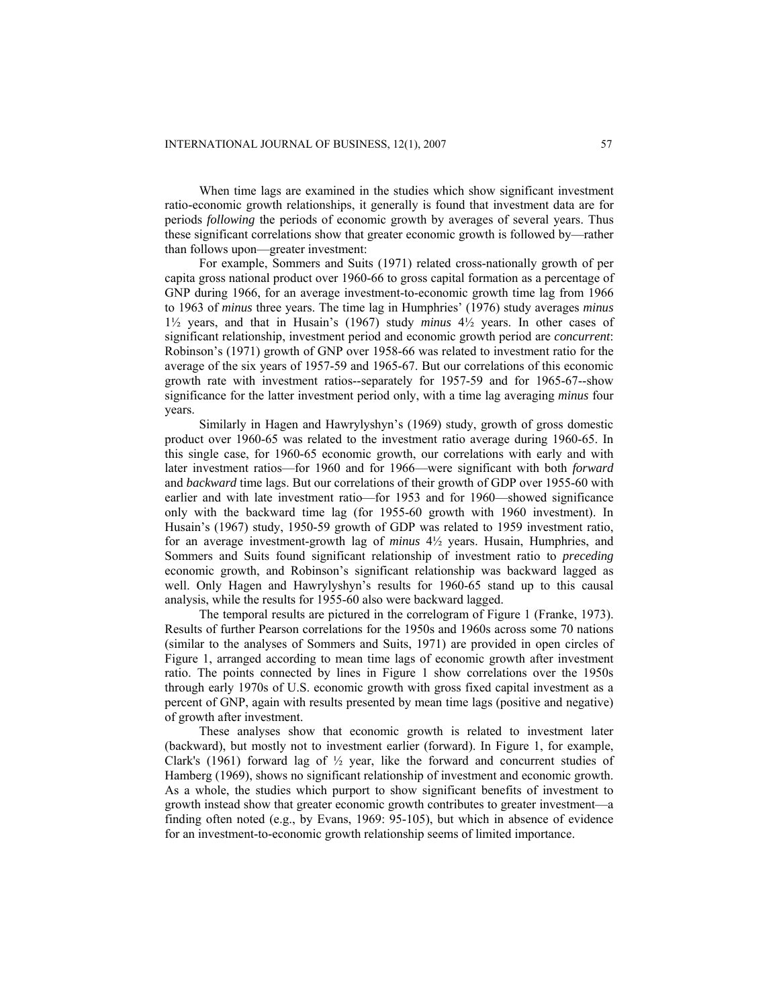When time lags are examined in the studies which show significant investment ratio-economic growth relationships, it generally is found that investment data are for periods *following* the periods of economic growth by averages of several years. Thus these significant correlations show that greater economic growth is followed by—rather than follows upon—greater investment:

For example, Sommers and Suits (1971) related cross-nationally growth of per capita gross national product over 1960-66 to gross capital formation as a percentage of GNP during 1966, for an average investment-to-economic growth time lag from 1966 to 1963 of *minus* three years. The time lag in Humphries' (1976) study averages *minus* 1½ years, and that in Husain's (1967) study *minus* 4½ years. In other cases of significant relationship, investment period and economic growth period are *concurrent*: Robinson's (1971) growth of GNP over 1958-66 was related to investment ratio for the average of the six years of 1957-59 and 1965-67. But our correlations of this economic growth rate with investment ratios--separately for 1957-59 and for 1965-67--show significance for the latter investment period only, with a time lag averaging *minus* four years.

Similarly in Hagen and Hawrylyshyn's (1969) study, growth of gross domestic product over 1960-65 was related to the investment ratio average during 1960-65. In this single case, for 1960-65 economic growth, our correlations with early and with later investment ratios—for 1960 and for 1966—were significant with both *forward*  and *backward* time lags. But our correlations of their growth of GDP over 1955-60 with earlier and with late investment ratio—for 1953 and for 1960—showed significance only with the backward time lag (for 1955-60 growth with 1960 investment). In Husain's (1967) study, 1950-59 growth of GDP was related to 1959 investment ratio, for an average investment-growth lag of *minus* 4½ years. Husain, Humphries, and Sommers and Suits found significant relationship of investment ratio to *preceding*  economic growth, and Robinson's significant relationship was backward lagged as well. Only Hagen and Hawrylyshyn's results for 1960-65 stand up to this causal analysis, while the results for 1955-60 also were backward lagged.

The temporal results are pictured in the correlogram of Figure 1 (Franke, 1973). Results of further Pearson correlations for the 1950s and 1960s across some 70 nations (similar to the analyses of Sommers and Suits, 1971) are provided in open circles of Figure 1, arranged according to mean time lags of economic growth after investment ratio. The points connected by lines in Figure 1 show correlations over the 1950s through early 1970s of U.S. economic growth with gross fixed capital investment as a percent of GNP, again with results presented by mean time lags (positive and negative) of growth after investment.

These analyses show that economic growth is related to investment later (backward), but mostly not to investment earlier (forward). In Figure 1, for example, Clark's (1961) forward lag of  $\frac{1}{2}$  year, like the forward and concurrent studies of Hamberg (1969), shows no significant relationship of investment and economic growth. As a whole, the studies which purport to show significant benefits of investment to growth instead show that greater economic growth contributes to greater investment—a finding often noted (e.g., by Evans, 1969: 95-105), but which in absence of evidence for an investment-to-economic growth relationship seems of limited importance.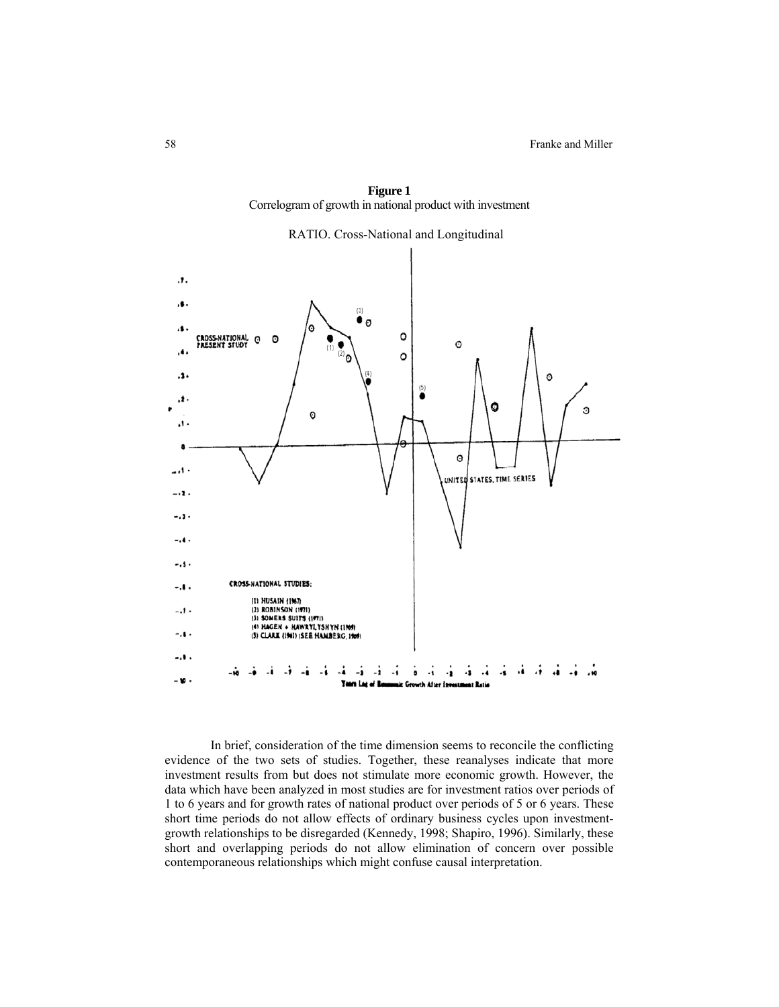

**Figure 1**  Correlogram of growth in national product with investment

In brief, consideration of the time dimension seems to reconcile the conflicting evidence of the two sets of studies. Together, these reanalyses indicate that more investment results from but does not stimulate more economic growth. However, the data which have been analyzed in most studies are for investment ratios over periods of 1 to 6 years and for growth rates of national product over periods of 5 or 6 years. These short time periods do not allow effects of ordinary business cycles upon investmentgrowth relationships to be disregarded (Kennedy, 1998; Shapiro, 1996). Similarly, these short and overlapping periods do not allow elimination of concern over possible contemporaneous relationships which might confuse causal interpretation.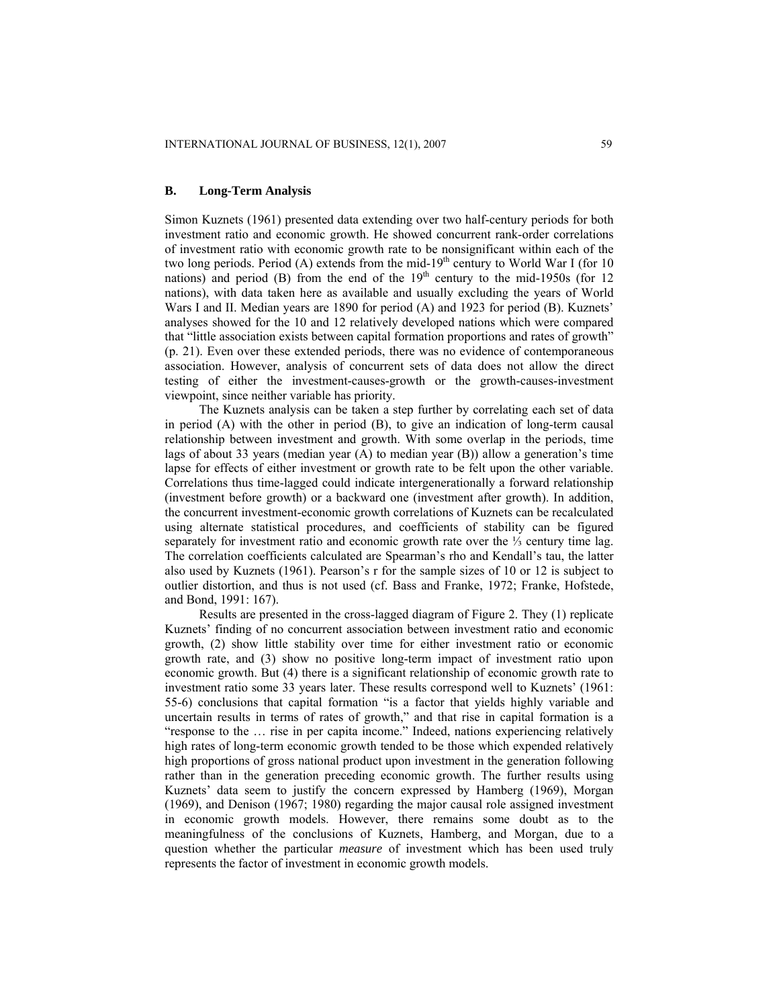#### **B. Long-Term Analysis**

Simon Kuznets (1961) presented data extending over two half-century periods for both investment ratio and economic growth. He showed concurrent rank-order correlations of investment ratio with economic growth rate to be nonsignificant within each of the two long periods. Period (A) extends from the mid-19<sup>th</sup> century to World War I (for 10 nations) and period (B) from the end of the  $19<sup>th</sup>$  century to the mid-1950s (for 12 nations), with data taken here as available and usually excluding the years of World Wars I and II. Median years are 1890 for period (A) and 1923 for period (B). Kuznets' analyses showed for the 10 and 12 relatively developed nations which were compared that "little association exists between capital formation proportions and rates of growth" (p. 21). Even over these extended periods, there was no evidence of contemporaneous association. However, analysis of concurrent sets of data does not allow the direct testing of either the investment-causes-growth or the growth-causes-investment viewpoint, since neither variable has priority.

The Kuznets analysis can be taken a step further by correlating each set of data in period (A) with the other in period (B), to give an indication of long-term causal relationship between investment and growth. With some overlap in the periods, time lags of about 33 years (median year (A) to median year (B)) allow a generation's time lapse for effects of either investment or growth rate to be felt upon the other variable. Correlations thus time-lagged could indicate intergenerationally a forward relationship (investment before growth) or a backward one (investment after growth). In addition, the concurrent investment-economic growth correlations of Kuznets can be recalculated using alternate statistical procedures, and coefficients of stability can be figured separately for investment ratio and economic growth rate over the  $\frac{1}{3}$  century time lag. The correlation coefficients calculated are Spearman's rho and Kendall's tau, the latter also used by Kuznets (1961). Pearson's r for the sample sizes of 10 or 12 is subject to outlier distortion, and thus is not used (cf. Bass and Franke, 1972; Franke, Hofstede, and Bond, 1991: 167).

Results are presented in the cross-lagged diagram of Figure 2. They (1) replicate Kuznets' finding of no concurrent association between investment ratio and economic growth, (2) show little stability over time for either investment ratio or economic growth rate, and (3) show no positive long-term impact of investment ratio upon economic growth. But (4) there is a significant relationship of economic growth rate to investment ratio some 33 years later. These results correspond well to Kuznets' (1961: 55-6) conclusions that capital formation "is a factor that yields highly variable and uncertain results in terms of rates of growth," and that rise in capital formation is a "response to the … rise in per capita income." Indeed, nations experiencing relatively high rates of long-term economic growth tended to be those which expended relatively high proportions of gross national product upon investment in the generation following rather than in the generation preceding economic growth. The further results using Kuznets' data seem to justify the concern expressed by Hamberg (1969), Morgan (1969), and Denison (1967; 1980) regarding the major causal role assigned investment in economic growth models. However, there remains some doubt as to the meaningfulness of the conclusions of Kuznets, Hamberg, and Morgan, due to a question whether the particular *measure* of investment which has been used truly represents the factor of investment in economic growth models.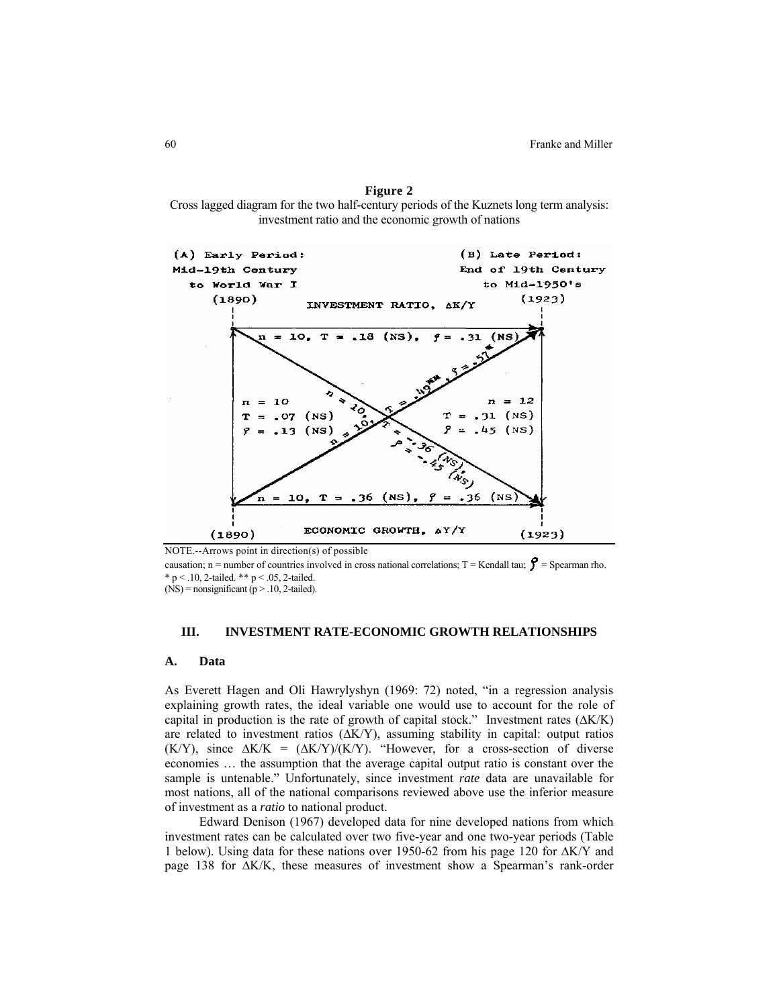**Figure 2** Cross lagged diagram for the two half-century periods of the Kuznets long term analysis: investment ratio and the economic growth of nations



NOTE.--Arrows point in direction(s) of possible

causation; n = number of countries involved in cross national correlations; T = Kendall tau;  $\mathbf{\hat{y}}$  = Spearman rho. \* p < .10, 2-tailed. \*\* p < .05, 2-tailed.

 $(NS)$  = nonsignificant (p > .10, 2-tailed).

# **III. INVESTMENT RATE-ECONOMIC GROWTH RELATIONSHIPS**

#### **A. Data**

As Everett Hagen and Oli Hawrylyshyn (1969: 72) noted, "in a regression analysis explaining growth rates, the ideal variable one would use to account for the role of capital in production is the rate of growth of capital stock." Investment rates (∆K/K) are related to investment ratios (∆K/Y), assuming stability in capital: output ratios (K/Y), since  $\Delta K/K = (\Delta K/Y)/(K/Y)$ . "However, for a cross-section of diverse economies … the assumption that the average capital output ratio is constant over the sample is untenable." Unfortunately, since investment *rate* data are unavailable for most nations, all of the national comparisons reviewed above use the inferior measure of investment as a *ratio* to national product.

Edward Denison (1967) developed data for nine developed nations from which investment rates can be calculated over two five-year and one two-year periods (Table 1 below). Using data for these nations over 1950-62 from his page 120 for ∆K/Y and page 138 for ∆K/K, these measures of investment show a Spearman's rank-order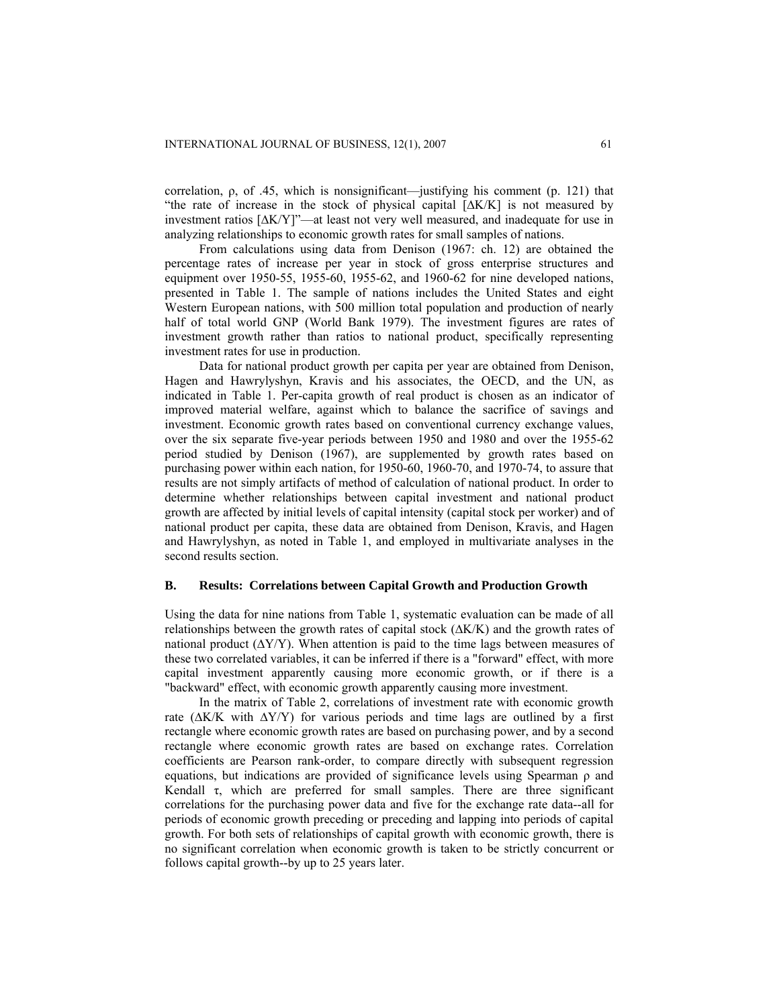correlation,  $\rho$ , of .45, which is nonsignificant—justifying his comment (p. 121) that "the rate of increase in the stock of physical capital [∆K/K] is not measured by investment ratios [∆K/Y]"—at least not very well measured, and inadequate for use in analyzing relationships to economic growth rates for small samples of nations.

From calculations using data from Denison (1967: ch. 12) are obtained the percentage rates of increase per year in stock of gross enterprise structures and equipment over 1950-55, 1955-60, 1955-62, and 1960-62 for nine developed nations, presented in Table 1. The sample of nations includes the United States and eight Western European nations, with 500 million total population and production of nearly half of total world GNP (World Bank 1979). The investment figures are rates of investment growth rather than ratios to national product, specifically representing investment rates for use in production.

Data for national product growth per capita per year are obtained from Denison, Hagen and Hawrylyshyn, Kravis and his associates, the OECD, and the UN, as indicated in Table 1. Per-capita growth of real product is chosen as an indicator of improved material welfare, against which to balance the sacrifice of savings and investment. Economic growth rates based on conventional currency exchange values, over the six separate five-year periods between 1950 and 1980 and over the 1955-62 period studied by Denison (1967), are supplemented by growth rates based on purchasing power within each nation, for 1950-60, 1960-70, and 1970-74, to assure that results are not simply artifacts of method of calculation of national product. In order to determine whether relationships between capital investment and national product growth are affected by initial levels of capital intensity (capital stock per worker) and of national product per capita, these data are obtained from Denison, Kravis, and Hagen and Hawrylyshyn, as noted in Table 1, and employed in multivariate analyses in the second results section.

#### **B. Results: Correlations between Capital Growth and Production Growth**

Using the data for nine nations from Table 1, systematic evaluation can be made of all relationships between the growth rates of capital stock (∆K/K) and the growth rates of national product  $(\Delta Y/Y)$ . When attention is paid to the time lags between measures of these two correlated variables, it can be inferred if there is a "forward" effect, with more capital investment apparently causing more economic growth, or if there is a "backward" effect, with economic growth apparently causing more investment.

In the matrix of Table 2, correlations of investment rate with economic growth rate (∆K/K with ∆Y/Y) for various periods and time lags are outlined by a first rectangle where economic growth rates are based on purchasing power, and by a second rectangle where economic growth rates are based on exchange rates. Correlation coefficients are Pearson rank-order, to compare directly with subsequent regression equations, but indications are provided of significance levels using Spearman  $\rho$  and Kendall  $\tau$ , which are preferred for small samples. There are three significant correlations for the purchasing power data and five for the exchange rate data--all for periods of economic growth preceding or preceding and lapping into periods of capital growth. For both sets of relationships of capital growth with economic growth, there is no significant correlation when economic growth is taken to be strictly concurrent or follows capital growth--by up to 25 years later.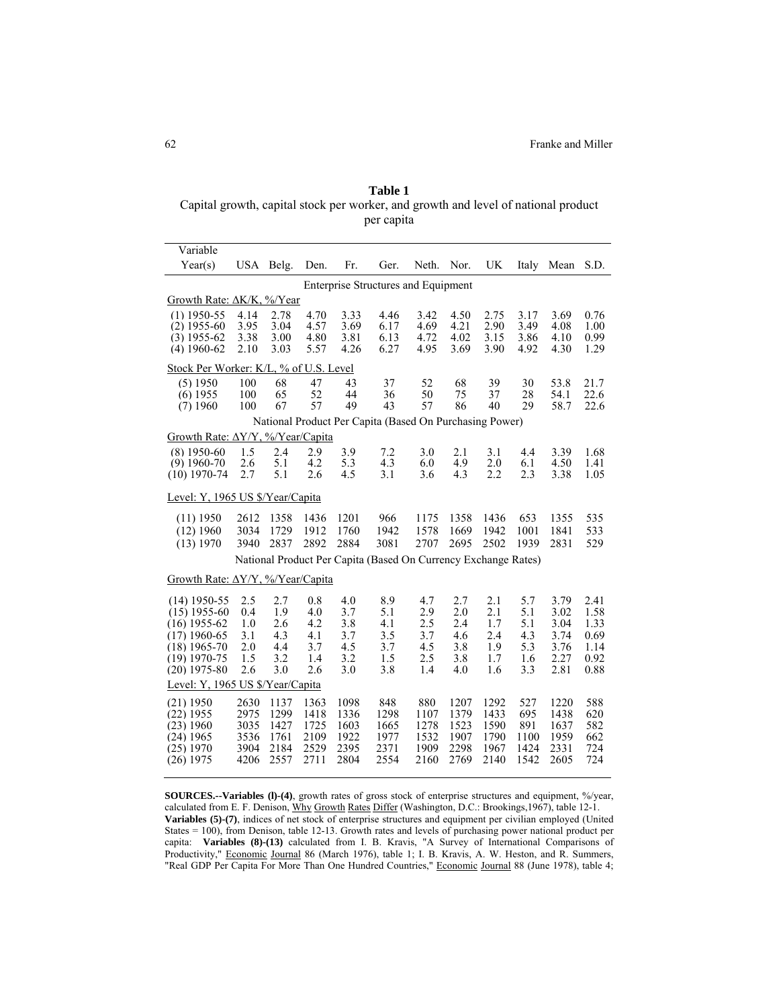**Table 1**  Capital growth, capital stock per worker, and growth and level of national product per capita

| Variable                                                                                                                   |                                                                |                                               |                                               |                                               |                                               |                                               |                                               |                                               |                                               |                                                      |                                                      |  |  |
|----------------------------------------------------------------------------------------------------------------------------|----------------------------------------------------------------|-----------------------------------------------|-----------------------------------------------|-----------------------------------------------|-----------------------------------------------|-----------------------------------------------|-----------------------------------------------|-----------------------------------------------|-----------------------------------------------|------------------------------------------------------|------------------------------------------------------|--|--|
| Year(s)                                                                                                                    | USA Belg.                                                      |                                               | Den.                                          | Fr.                                           | Ger.                                          | Neth.                                         | Nor.                                          | <b>UK</b>                                     | Italy                                         | Mean                                                 | S.D.                                                 |  |  |
| <b>Enterprise Structures and Equipment</b>                                                                                 |                                                                |                                               |                                               |                                               |                                               |                                               |                                               |                                               |                                               |                                                      |                                                      |  |  |
| Growth Rate: $\Delta K/K$ , %/Year                                                                                         |                                                                |                                               |                                               |                                               |                                               |                                               |                                               |                                               |                                               |                                                      |                                                      |  |  |
| $(1)$ 1950-55<br>$(2)$ 1955-60<br>$(3)$ 1955-62<br>$(4)$ 1960-62                                                           | 4.14<br>3.95<br>3.38<br>2.10                                   | 2.78<br>3.04<br>3.00<br>3.03                  | 4.70<br>4.57<br>4.80<br>5.57                  | 3.33<br>3.69<br>3.81<br>4.26                  | 4.46<br>6.17<br>6.13<br>6.27                  | 3.42<br>4.69<br>4.72<br>4.95                  | 4.50<br>4.21<br>4.02<br>3.69                  | 2.75<br>2.90<br>3.15<br>3.90                  | 3.17<br>3.49<br>3.86<br>4.92                  | 3.69<br>4.08<br>4.10<br>4.30                         | 0.76<br>1.00<br>0.99<br>1.29                         |  |  |
| Stock Per Worker: K/L, % of U.S. Level                                                                                     |                                                                |                                               |                                               |                                               |                                               |                                               |                                               |                                               |                                               |                                                      |                                                      |  |  |
| (5) 1950<br>$(6)$ 1955<br>$(7)$ 1960                                                                                       | 100<br>100<br>100                                              | 68<br>65<br>67                                | 47<br>52<br>57                                | 43<br>44<br>49                                | 37<br>36<br>43                                | 52<br>50<br>57                                | 68<br>75<br>86                                | 39<br>37<br>40                                | 30<br>28<br>29                                | 53.8<br>54.1<br>58.7                                 | 21.7<br>22.6<br>22.6                                 |  |  |
| National Product Per Capita (Based On Purchasing Power)<br>Growth Rate: $\Delta$ Y/Y, %/Year/Capita                        |                                                                |                                               |                                               |                                               |                                               |                                               |                                               |                                               |                                               |                                                      |                                                      |  |  |
|                                                                                                                            |                                                                |                                               |                                               |                                               |                                               |                                               |                                               |                                               |                                               |                                                      |                                                      |  |  |
| $(8)$ 1950-60<br>$(9)$ 1960-70<br>$(10)$ 1970-74                                                                           | 1.5<br>2.6<br>2.7                                              | 2.4<br>5.1<br>5.1                             | 2.9<br>4.2<br>2.6                             | 3.9<br>5.3<br>4.5                             | 7.2<br>4.3<br>3.1                             | 3.0<br>6.0<br>3.6                             | 2.1<br>4.9<br>4.3                             | 3.1<br>2.0<br>2.2                             | 4.4<br>6.1<br>2.3                             | 3.39<br>4.50<br>3.38                                 | 1.68<br>1.41<br>1.05                                 |  |  |
| Level: Y, 1965 US \$/Year/Capita                                                                                           |                                                                |                                               |                                               |                                               |                                               |                                               |                                               |                                               |                                               |                                                      |                                                      |  |  |
| $(11)$ 1950<br>$(12)$ 1960<br>(13) 1970                                                                                    | 2612<br>3034<br>3940                                           | 1358<br>1729<br>2837                          | 1436<br>1912<br>2892                          | 1201<br>1760<br>2884                          | 966<br>1942<br>3081                           | 1175<br>1578<br>2707                          | 1358<br>1669<br>2695                          | 1436<br>1942<br>2502                          | 653<br>1001<br>1939                           | 1355<br>1841<br>2831                                 | 535<br>533<br>529                                    |  |  |
|                                                                                                                            | National Product Per Capita (Based On Currency Exchange Rates) |                                               |                                               |                                               |                                               |                                               |                                               |                                               |                                               |                                                      |                                                      |  |  |
| Growth Rate: $\Delta$ Y/Y, %/Year/Capita                                                                                   |                                                                |                                               |                                               |                                               |                                               |                                               |                                               |                                               |                                               |                                                      |                                                      |  |  |
| $(14)$ 1950-55<br>$(15)$ 1955-60<br>$(16)$ 1955-62<br>$(17)$ 1960-65<br>$(18)$ 1965-70<br>$(19)$ 1970-75<br>$(20)$ 1975-80 | 2.5<br>0.4<br>1.0<br>3.1<br>2.0<br>1.5<br>2.6                  | 2.7<br>1.9<br>2.6<br>4.3<br>4.4<br>3.2<br>3.0 | 0.8<br>4.0<br>4.2<br>4.1<br>3.7<br>1.4<br>2.6 | 4.0<br>3.7<br>3.8<br>3.7<br>4.5<br>3.2<br>3.0 | 8.9<br>5.1<br>4.1<br>3.5<br>3.7<br>1.5<br>3.8 | 4.7<br>2.9<br>2.5<br>3.7<br>4.5<br>2.5<br>1.4 | 2.7<br>2.0<br>2.4<br>4.6<br>3.8<br>3.8<br>4.0 | 2.1<br>2.1<br>1.7<br>2.4<br>1.9<br>1.7<br>1.6 | 5.7<br>5.1<br>5.1<br>4.3<br>5.3<br>1.6<br>3.3 | 3.79<br>3.02<br>3.04<br>3.74<br>3.76<br>2.27<br>2.81 | 2.41<br>1.58<br>1.33<br>0.69<br>1.14<br>0.92<br>0.88 |  |  |
| Level: Y, 1965 US \$/Year/Capita                                                                                           |                                                                |                                               |                                               |                                               |                                               |                                               |                                               |                                               |                                               |                                                      |                                                      |  |  |
| $(21)$ 1950<br>$(22)$ 1955<br>$(23)$ 1960<br>$(24)$ 1965<br>$(25)$ 1970<br>$(26)$ 1975                                     | 2630<br>2975<br>3035<br>3536<br>3904<br>4206                   | 1137<br>1299<br>1427<br>1761<br>2184<br>2557  | 1363<br>1418<br>1725<br>2109<br>2529<br>2711  | 1098<br>1336<br>1603<br>1922<br>2395<br>2804  | 848<br>1298<br>1665<br>1977<br>2371<br>2554   | 880<br>1107<br>1278<br>1532<br>1909<br>2160   | 1207<br>1379<br>1523<br>1907<br>2298<br>2769  | 1292<br>1433<br>1590<br>1790<br>1967<br>2140  | 527<br>695<br>891<br>1100<br>1424<br>1542     | 1220<br>1438<br>1637<br>1959<br>2331<br>2605         | 588<br>620<br>582<br>662<br>724<br>724               |  |  |

**SOURCES.--Variables (l)-(4)**, growth rates of gross stock of enterprise structures and equipment, %/year, calculated from E. F. Denison, Why Growth Rates Differ (Washington, D.C.: Brookings, 1967), table 12-1. **Variables (5)-(7)**, indices of net stock of enterprise structures and equipment per civilian employed (United States = 100), from Denison, table 12-13. Growth rates and levels of purchasing power national product per capita: **Variables (8)-(13)** calculated from I. B. Kravis, "A Survey of International Comparisons of Productivity," Economic Journal 86 (March 1976), table 1; I. B. Kravis, A. W. Heston, and R. Summers, "Real GDP Per Capita For More Than One Hundred Countries," Economic Journal 88 (June 1978), table 4;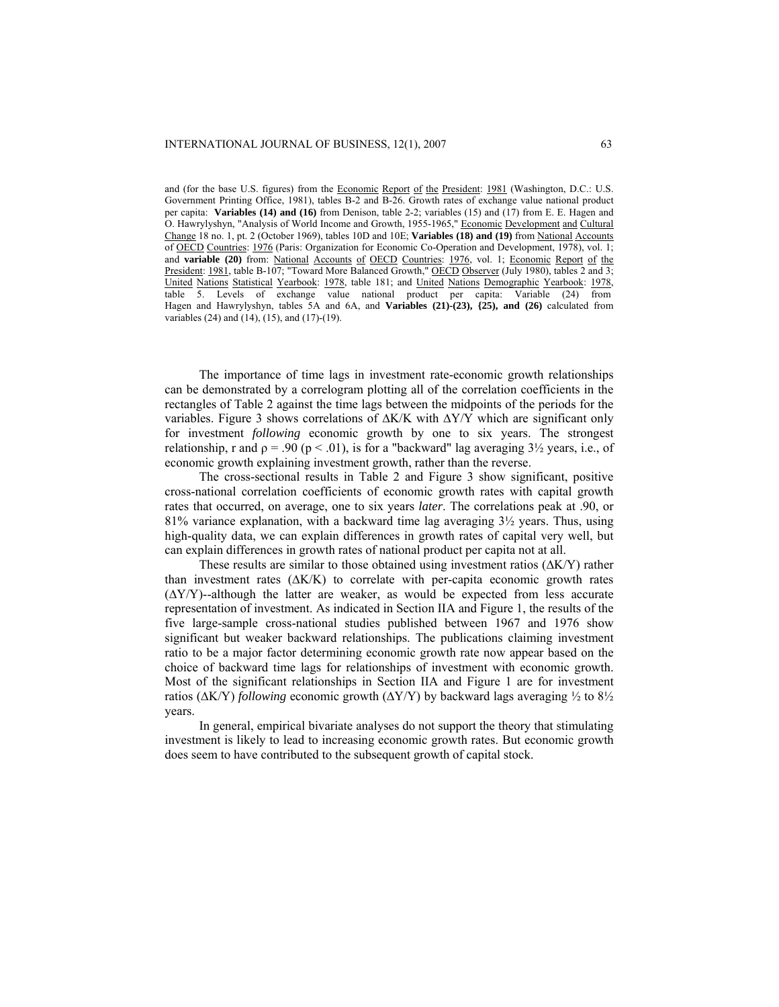and (for the base U.S. figures) from the Economic Report of the President: 1981 (Washington, D.C.: U.S. Government Printing Office, 1981), tables B-2 and B-26. Growth rates of exchange value national product per capita: **Variables (14) and (16)** from Denison, table 2-2; variables (15) and (17) from E. E. Hagen and O. Hawrylyshyn, "Analysis of World Income and Growth, 1955-1965," Economic Development and Cultural Change 18 no. 1, pt. 2 (October 1969), tables 10D and 10E; **Variables (18) and (19)** from National Accounts of OECD Countries: 1976 (Paris: Organization for Economic Co-Operation and Development, 1978), vol. 1; and **variable (20)** from: National Accounts of OECD Countries: 1976, vol. 1; Economic Report of the President: 1981, table B-107; "Toward More Balanced Growth," OECD Observer (July 1980), tables 2 and 3; United Nations Statistical Yearbook: 1978, table 181; and United Nations Demographic Yearbook: 1978, table 5. Levels of exchange value national product per capita: Variable (24) from Hagen and Hawrylyshyn, tables 5A and 6A, and **Variables (21)-(23), {25), and (26)** calculated from variables (24) and (14), (15), and (17)-(19).

The importance of time lags in investment rate-economic growth relationships can be demonstrated by a correlogram plotting all of the correlation coefficients in the rectangles of Table 2 against the time lags between the midpoints of the periods for the variables. Figure 3 shows correlations of ∆K/K with ∆Y/Y which are significant only for investment *following* economic growth by one to six years. The strongest relationship, r and  $\rho = .90$  ( $p < .01$ ), is for a "backward" lag averaging  $3\frac{1}{2}$  years, i.e., of economic growth explaining investment growth, rather than the reverse.

The cross-sectional results in Table 2 and Figure 3 show significant, positive cross-national correlation coefficients of economic growth rates with capital growth rates that occurred, on average, one to six years *later*. The correlations peak at .90, or 81% variance explanation, with a backward time lag averaging  $3\frac{1}{2}$  years. Thus, using high-quality data, we can explain differences in growth rates of capital very well, but can explain differences in growth rates of national product per capita not at all.

These results are similar to those obtained using investment ratios (∆K/Y) rather than investment rates  $(\Delta K/K)$  to correlate with per-capita economic growth rates  $(\Delta Y/Y)$ --although the latter are weaker, as would be expected from less accurate representation of investment. As indicated in Section IIA and Figure 1, the results of the five large-sample cross-national studies published between 1967 and 1976 show significant but weaker backward relationships. The publications claiming investment ratio to be a major factor determining economic growth rate now appear based on the choice of backward time lags for relationships of investment with economic growth. Most of the significant relationships in Section IIA and Figure 1 are for investment ratios ( $\Delta$ K/Y) *following* economic growth ( $\Delta$ Y/Y) by backward lags averaging  $\frac{1}{2}$  to  $\frac{81}{2}$ years.

In general, empirical bivariate analyses do not support the theory that stimulating investment is likely to lead to increasing economic growth rates. But economic growth does seem to have contributed to the subsequent growth of capital stock.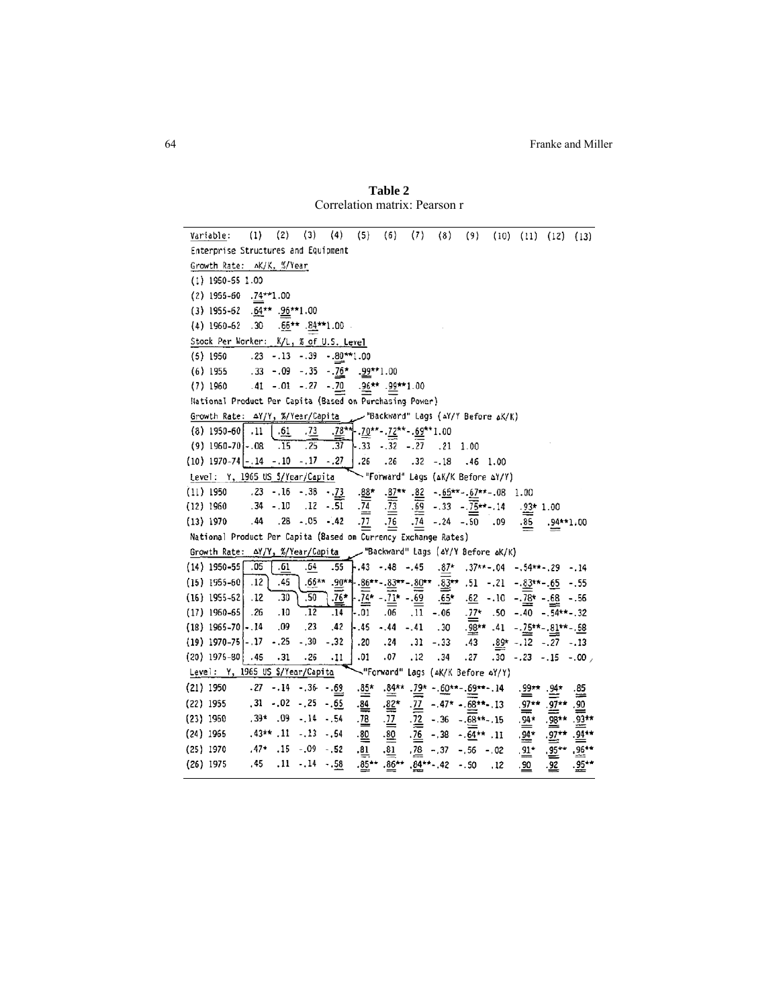**Table 2** Correlation matrix: Pearson r

 $(1)$   $(2)$   $(3)$   $(4)$   $(5)$   $(6)$   $(7)$   $(8)$   $(9)$   $(10)$   $(11)$   $(12)$   $(13)$ Variable: Enterprise Structures and Equipment Growth Rate: AK/K, %/Year  $(1)$  1950-55 1.00  $(2)$  1955-60 .74\*\*1.00 (3) 1955-62 .64\*\* .96\*\*1.00 (4) 1960-62 .30 .66\*\* .84\*\*1.00 Stock Per Worker: K/L, % of U.S. Level  $(5)$  1950  $.23 - .13 - .39 - .80***1.00$ .33 -.09 -.35 -. $76^*$  -. $99^{**1.00}$  $(6)$  1955  $(7)$  1960 .41 -.01 -.27 -. 70 .  $96***$  .  $99***$  1.00 National Product Per Capita (Based on Purchasing Power) Growth Rate:  $\Delta Y/Y$ ,  $\frac{\pi}{12}$   $\frac{Y}{}$   $\frac{Y}{}$   $\frac{Y}{}$   $\frac{Y}{}$   $\frac{Y}{}$   $\frac{Y}{}$   $\frac{Y}{}$   $\frac{Y}{}$   $\frac{Y}{}$   $\frac{Y}{}$   $\frac{Y}{}$   $\frac{Y}{}$   $\frac{Y}{}$   $\frac{Y}{}$   $\frac{Y}{}$   $\frac{Y}{}$   $\frac{Y}{}$   $\frac{Y}{}$   $\frac{Y}{}$   $\frac{Y}{}$   $\frac{Y}{}$  (9)  $1960-70$  -  $08$   $\overline{.15 \cdot .25 \cdot .37}$  -  $.33$  -  $.32$  -  $.27$   $.21$  1.00 (10) 1970-74 - 14 - 10 - 17 - 27 26 .26 .32 - 18 .46 1.00<br>Level: Y, 1965 US S/Year/Capita "Forward" Lags (AK/K Before AY/Y) .23 -.16 -.38 -.73 .88\* .87\*\* .82 -.65\*\*-.67\*\* -.08 1.00  $(11)$  1950 .34 -.10 .12 -.51  $\frac{1}{24}$   $\frac{1}{23}$   $\frac{1}{62}$  -.33 - $\frac{1}{25}$  + .14 .93 + 1.00  $(12)$  1960 .44 .28 .05 - 42 . $\overline{11}$  .  $\overline{16}$  .  $\overline{14}$  - 24 - 50 .09  $(13)$  1970  $.85 - .94***1.00$ National Product Per Capita (Based on Currency Exchange Rates) Growth Rate: AY/Y, %/Year/Capita "Backward" Lags (۵۲/۲ Before ۵K/K)  $(14)$  1950-55 .05 .61  $-64$   $-55$   $-43$   $-48$   $-45$   $-87$   $-37$   $-64$   $-54$   $-84$  $.66***$   $.90**$   $-86***$   $.83***$   $-80**$   $.80**$   $.83***$   $.51$   $-.21$   $-83***$   $.65$   $-.55$  $(15)$  1955-60 .12 .45  $\cdot\overline{26}$  \*  $\overline{.50}$  $(16)$  1955-62  $.12$  $.30$  $-.74*-.71*-.69$  $.65*$   $.62$   $-.10$   $-.78*$   $-.68$   $-.56$  $(17)$  1960-65 .26  $.10$  $\overline{12}$  $-0.01$   $0.06$   $0.11$   $0.06$   $0.77$   $0.50$   $0.40$   $0.54$   $0.32$  $.14$  $(18)$  1965-70. .09  $.23$  $.42$  $-.45-.44-.41$ .30  $.98***$  .41  $-.75***$   $.81***$   $.58$  $.43$   $.89^{\star}$   $-.12$   $-.27$   $-.13$  $(19)$  1970-75 - 17 - 25 - 30 - 32  $.20$   $.24$   $.31$   $-.33$  $.31$  $.27 \t .30 \t .23 \t .15 \t .00$  $(20)$  1975-80 .45  $.26$  $.11$  $.01-.07$  $.12$  $.34$ Level: Y, 1965 US \$/Year/Capita "Forward" Lags (AK/K Before AY/Y)  $.84**$   $.79* - .60**$   $.69***$  . 14  $(21)$  1950  $-27 - 14 - 36 - 69$  $\cdot \stackrel{85}{\cong}$  $.99** .94*$  $\stackrel{.85}{=}$  $.31 - .02 - .25 - .65$  $\frac{1}{84}$  $\sqrt{72}$  -.47\* -.68\*\*-.13  $.97**$ .  $.97**$  $\frac{82}{3}$ (22) 1955 , 90  $,39*$  . 09 - 14 - 54  $.98**$ .  $.92**$  $(23)$  1960  $.78-.77$  $\frac{72}{1}$  - .36 - .68\*\*-.15  $.94*$  $.43**$  .11  $-.13$   $-.54$  $(24)$  1965  $.80 - .80$  $.76 - .38 - .64**$  .11  $.94*$  .  $.97**$  .  $.94**$  $.47*$   $.15 - .09 - .52$  $(25)$  1970  $.81$  $.78 - .37 - .56 - .02$  $.96**$  $.81$  $.91*$  $.95***$ .45 .11 -.14 -.58 .36\*\* .36\*\* .42 -.50 .12  $(26)$  1975 .90  $-92$  $.95**$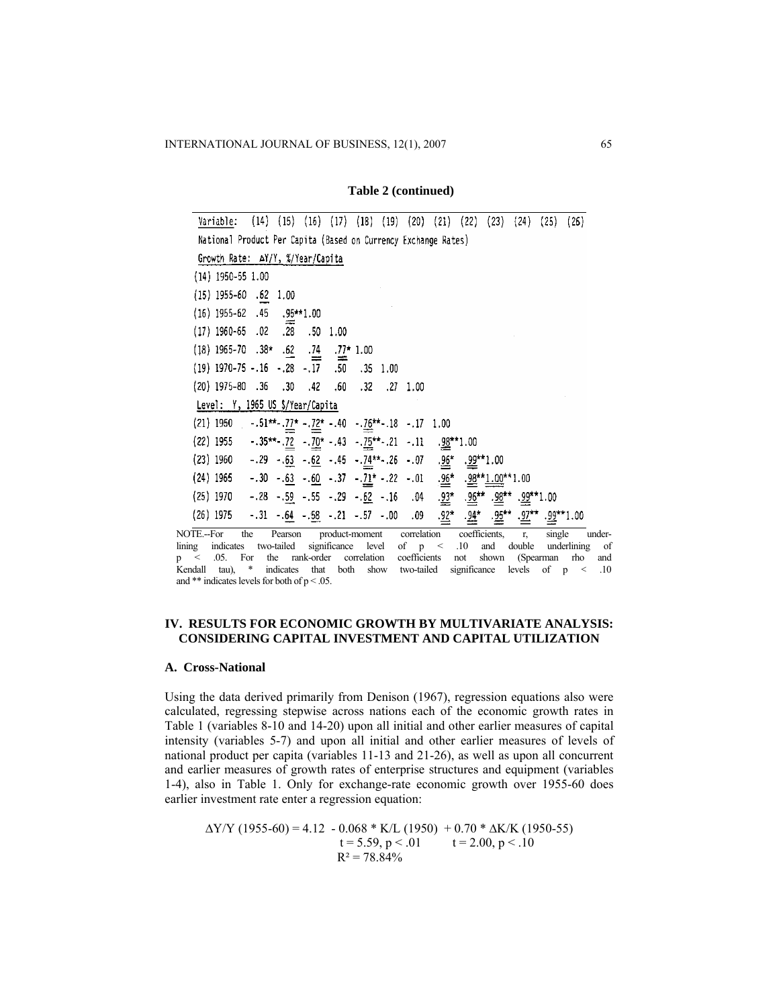#### **Table 2 (continued)**

| Variable:                                                                                                                               |     | $(14)$ $(15)$ $(16)$ $(17)$ $(18)$ $(19)$ |                   |  | $(20)$ $(21)$ $(22)$                     | (23) | (24)        | (25)   | (26)   |
|-----------------------------------------------------------------------------------------------------------------------------------------|-----|-------------------------------------------|-------------------|--|------------------------------------------|------|-------------|--------|--------|
| National Product Per Capita (Based on Currency Exchange Rates)                                                                          |     |                                           |                   |  |                                          |      |             |        |        |
| Growth Rate: AY/Y, %/Year/Capita                                                                                                        |     |                                           |                   |  |                                          |      |             |        |        |
| $(14)$ 1950-55 1.00                                                                                                                     |     |                                           |                   |  |                                          |      |             |        |        |
| $(15)$ 1955-60 .62 1.00                                                                                                                 |     |                                           |                   |  |                                          |      |             |        |        |
| $(16)$ 1955-62 .45 .95**1.00                                                                                                            |     |                                           |                   |  |                                          |      |             |        |        |
| $(17)$ 1960-65 .02 .28 .50 1.00                                                                                                         |     |                                           |                   |  |                                          |      |             |        |        |
| (18) 1965-70 .38* .62 .74 .77* 1.00                                                                                                     |     |                                           |                   |  |                                          |      |             |        |        |
| $(19)$ 1970-75 -.16 -.28 -.17 .50 .35 1.00                                                                                              |     |                                           |                   |  |                                          |      |             |        |        |
| $(20)$ 1975-80 .36 .30 .42                                                                                                              |     |                                           | .60. .32. .27 .00 |  |                                          |      |             |        |        |
| Level: Y, 1965 US \$/Year/Capita                                                                                                        |     |                                           |                   |  |                                          |      |             |        |        |
| (21) 1950 - $.51**$ $.17*$ $.12*$ $.40$ $.16**$ $.18$ $.17$ 1.00                                                                        |     |                                           |                   |  |                                          |      |             |        |        |
| (22) 1955 - $.35***$ $.22$ - $.70*$ - $.43$ - $.75***$ $.21$ - $.11$ $.98**$ 1.00                                                       |     |                                           |                   |  |                                          |      |             |        |        |
|                                                                                                                                         |     |                                           |                   |  |                                          |      |             |        |        |
| (23) 1960 - 29 - 63 - 62 - 45 - 74 * - 26 - 07 - 96 - 92 * 1.00<br>(24) 1965 - 30 - 63 - 60 - 37 - 71 - 22 - 01 - 96 - 92 * 1.00 * 1.00 |     |                                           |                   |  |                                          |      |             |        |        |
| (25) 1970 - .28 - .59 - .55 - .29 - .52 - .16 .04 $.92^*$ .90** .90** .92** 1.00                                                        |     |                                           |                   |  |                                          |      |             |        |        |
| (26) 1975 - .31 - .64 - .58 - .21 - .57 - .00 .09 .92* .94* .92** .92** .92**1.00                                                       |     |                                           |                   |  |                                          |      |             |        |        |
| NOTE.--For                                                                                                                              | the | Pearson                                   |                   |  | product-moment correlation coefficients, |      | $r_{\rm s}$ | single | under- |

lining indicates two-tailed significance level of p < .10 and double underlining of p < .05. For the rank-order correlation coefficients not shown (Spearman rho and Kendall tau), \* indicates that both show two-tailed significance levels of p *<* .10 and \*\* indicates levels for both of p < .05.

# **IV. RESULTS FOR ECONOMIC GROWTH BY MULTIVARIATE ANALYSIS: CONSIDERING CAPITAL INVESTMENT AND CAPITAL UTILIZATION**

## **A. Cross-National**

Using the data derived primarily from Denison (1967), regression equations also were calculated, regressing stepwise across nations each of the economic growth rates in Table 1 (variables 8-10 and 14-20) upon all initial and other earlier measures of capital intensity (variables 5-7) and upon all initial and other earlier measures of levels of national product per capita (variables 11-13 and 21-26), as well as upon all concurrent and earlier measures of growth rates of enterprise structures and equipment (variables 1-4), also in Table 1. Only for exchange-rate economic growth over 1955-60 does earlier investment rate enter a regression equation:

 $\Delta$ Y/Y (1955-60) = 4.12 - 0.068 \* K/L (1950) + 0.70 \*  $\Delta$ K/K (1950-55)  $t = 5.59, p < .01$   $t = 2.00, p < .10$  $R^2 = 78.84\%$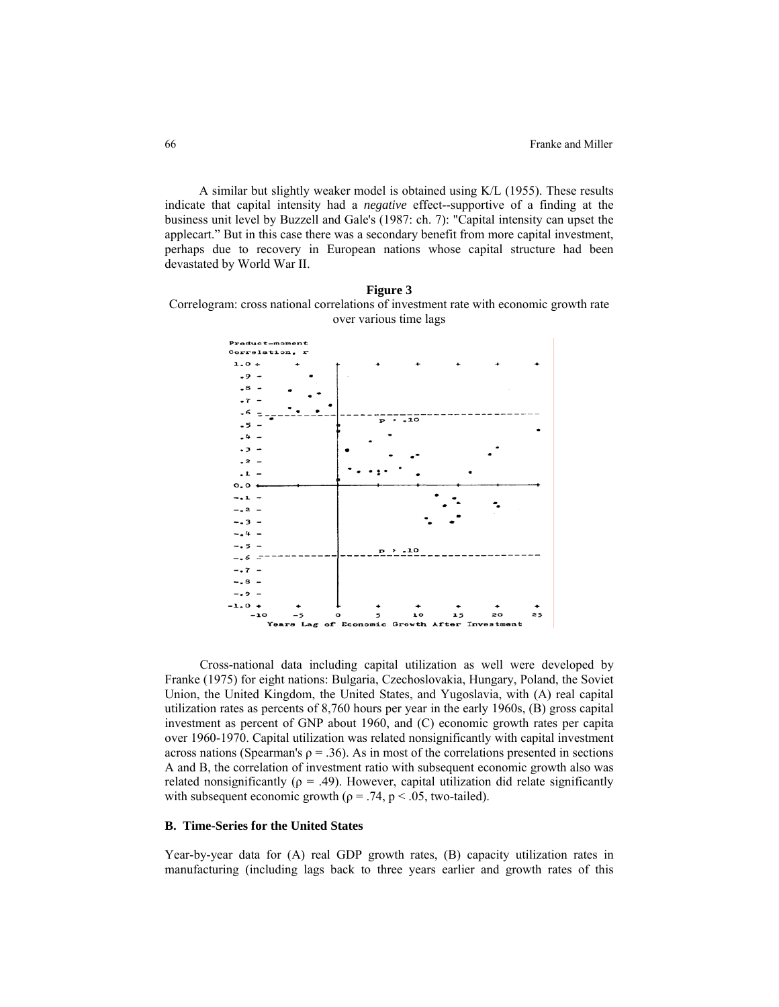A similar but slightly weaker model is obtained using K/L (1955). These results indicate that capital intensity had a *negative* effect--supportive of a finding at the business unit level by Buzzell and Gale's (1987: ch. 7): "Capital intensity can upset the applecart." But in this case there was a secondary benefit from more capital investment, perhaps due to recovery in European nations whose capital structure had been devastated by World War II.

**Figure 3**  Correlogram: cross national correlations of investment rate with economic growth rate over various time lags



 Cross-national data including capital utilization as well were developed by Franke (1975) for eight nations: Bulgaria, Czechoslovakia, Hungary, Poland, the Soviet Union, the United Kingdom, the United States, and Yugoslavia, with (A) real capital utilization rates as percents of 8,760 hours per year in the early 1960s, (B) gross capital investment as percent of GNP about 1960, and (C) economic growth rates per capita over 1960-1970. Capital utilization was related nonsignificantly with capital investment across nations (Spearman's  $\rho = 0.36$ ). As in most of the correlations presented in sections A and B, the correlation of investment ratio with subsequent economic growth also was related nonsignificantly ( $\rho = .49$ ). However, capital utilization did relate significantly with subsequent economic growth ( $\rho = .74$ ,  $p < .05$ , two-tailed).

#### **B. Time-Series for the United States**

Year-by-year data for (A) real GDP growth rates, (B) capacity utilization rates in manufacturing (including lags back to three years earlier and growth rates of this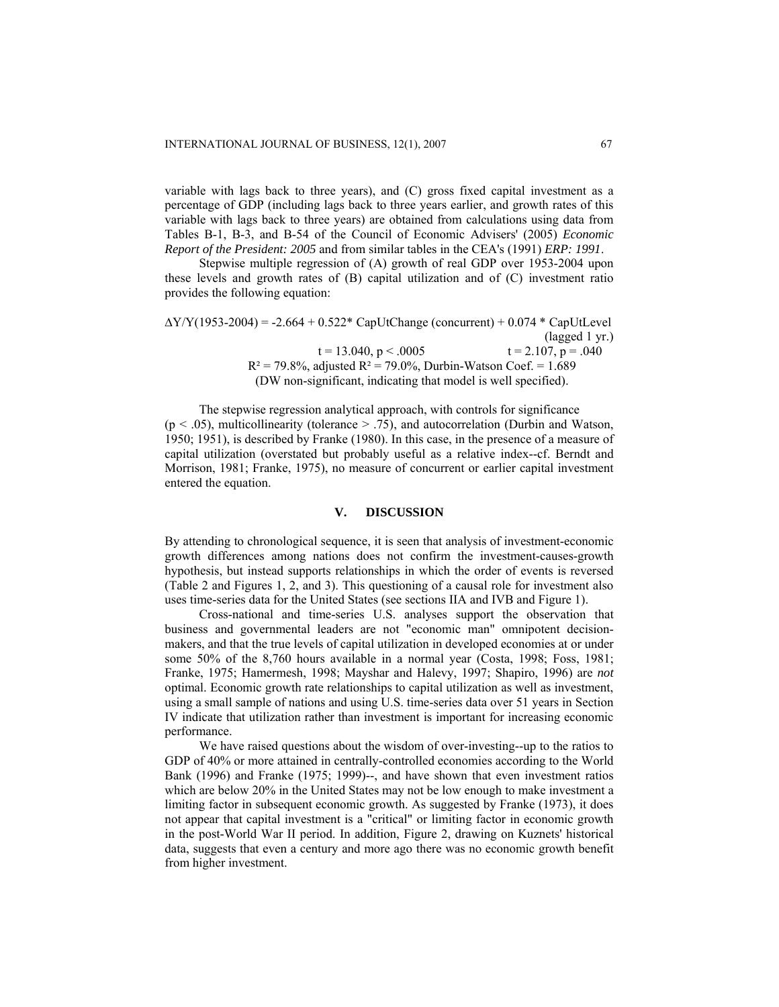variable with lags back to three years), and (C) gross fixed capital investment as a percentage of GDP (including lags back to three years earlier, and growth rates of this variable with lags back to three years) are obtained from calculations using data from Tables B-1, B-3, and B-54 of the Council of Economic Advisers' (2005) *Economic Report of the President: 2005* and from similar tables in the CEA's (1991) *ERP: 1991*.

Stepwise multiple regression of (A) growth of real GDP over 1953-2004 upon these levels and growth rates of (B) capital utilization and of (C) investment ratio provides the following equation:

 $\Delta$ Y/Y(1953-2004) = -2.664 + 0.522\* CapUtChange (concurrent) + 0.074 \* CapUtLevel (lagged 1 yr.)  $t = 13.040, p < .0005$   $t = 2.107, p = .040$  $R^2 = 79.8\%$ , adjusted  $R^2 = 79.0\%$ , Durbin-Watson Coef. = 1.689 (DW non-significant, indicating that model is well specified).

The stepwise regression analytical approach, with controls for significance  $(p < .05)$ , multicollinearity (tolerance  $> .75$ ), and autocorrelation (Durbin and Watson, 1950; 1951), is described by Franke (1980). In this case, in the presence of a measure of capital utilization (overstated but probably useful as a relative index--cf. Berndt and Morrison, 1981; Franke, 1975), no measure of concurrent or earlier capital investment entered the equation.

## **V. DISCUSSION**

By attending to chronological sequence, it is seen that analysis of investment-economic growth differences among nations does not confirm the investment-causes-growth hypothesis, but instead supports relationships in which the order of events is reversed (Table 2 and Figures 1, 2, and 3). This questioning of a causal role for investment also uses time-series data for the United States (see sections IIA and IVB and Figure 1).

Cross-national and time-series U.S. analyses support the observation that business and governmental leaders are not "economic man" omnipotent decisionmakers, and that the true levels of capital utilization in developed economies at or under some 50% of the 8,760 hours available in a normal year (Costa, 1998; Foss, 1981; Franke, 1975; Hamermesh, 1998; Mayshar and Halevy, 1997; Shapiro, 1996) are *not* optimal. Economic growth rate relationships to capital utilization as well as investment, using a small sample of nations and using U.S. time-series data over 51 years in Section IV indicate that utilization rather than investment is important for increasing economic performance.

We have raised questions about the wisdom of over-investing--up to the ratios to GDP of 40% or more attained in centrally-controlled economies according to the World Bank (1996) and Franke (1975; 1999)--, and have shown that even investment ratios which are below 20% in the United States may not be low enough to make investment a limiting factor in subsequent economic growth. As suggested by Franke (1973), it does not appear that capital investment is a "critical" or limiting factor in economic growth in the post-World War II period. In addition, Figure 2, drawing on Kuznets' historical data, suggests that even a century and more ago there was no economic growth benefit from higher investment.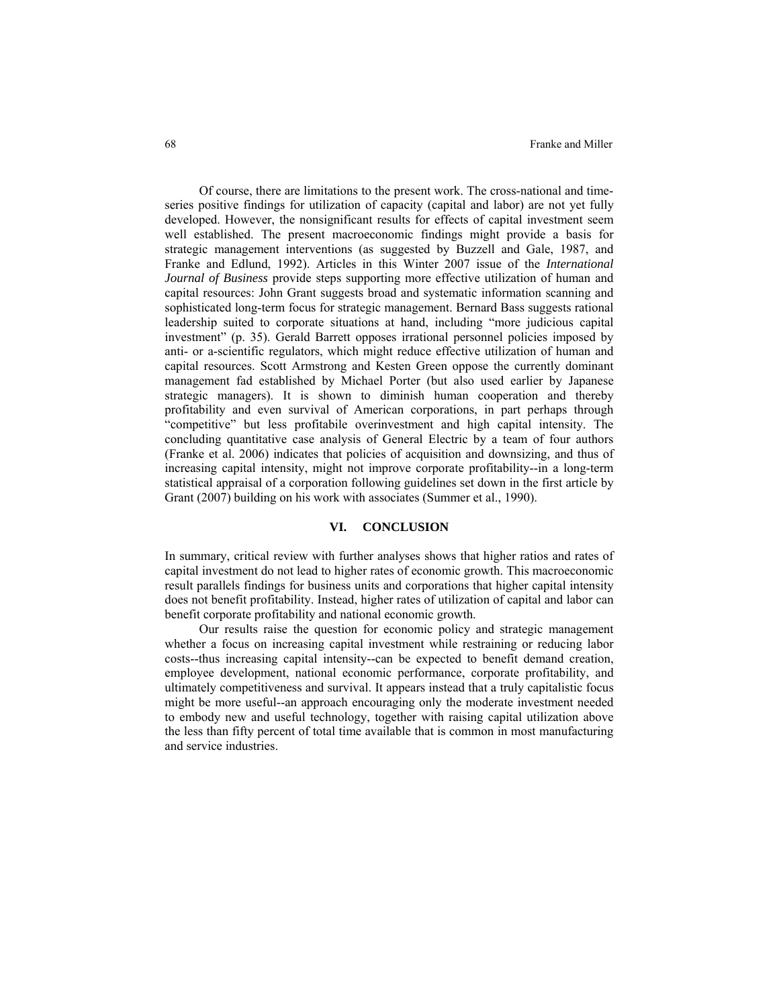Of course, there are limitations to the present work. The cross-national and timeseries positive findings for utilization of capacity (capital and labor) are not yet fully developed. However, the nonsignificant results for effects of capital investment seem well established. The present macroeconomic findings might provide a basis for strategic management interventions (as suggested by Buzzell and Gale, 1987, and Franke and Edlund, 1992). Articles in this Winter 2007 issue of the *International Journal of Business* provide steps supporting more effective utilization of human and capital resources: John Grant suggests broad and systematic information scanning and sophisticated long-term focus for strategic management. Bernard Bass suggests rational leadership suited to corporate situations at hand, including "more judicious capital investment" (p. 35). Gerald Barrett opposes irrational personnel policies imposed by anti- or a-scientific regulators, which might reduce effective utilization of human and capital resources. Scott Armstrong and Kesten Green oppose the currently dominant management fad established by Michael Porter (but also used earlier by Japanese strategic managers). It is shown to diminish human cooperation and thereby profitability and even survival of American corporations, in part perhaps through "competitive" but less profitabile overinvestment and high capital intensity. The concluding quantitative case analysis of General Electric by a team of four authors (Franke et al. 2006) indicates that policies of acquisition and downsizing, and thus of increasing capital intensity, might not improve corporate profitability--in a long-term statistical appraisal of a corporation following guidelines set down in the first article by Grant (2007) building on his work with associates (Summer et al., 1990).

# **VI. CONCLUSION**

In summary, critical review with further analyses shows that higher ratios and rates of capital investment do not lead to higher rates of economic growth. This macroeconomic result parallels findings for business units and corporations that higher capital intensity does not benefit profitability. Instead, higher rates of utilization of capital and labor can benefit corporate profitability and national economic growth.

Our results raise the question for economic policy and strategic management whether a focus on increasing capital investment while restraining or reducing labor costs--thus increasing capital intensity--can be expected to benefit demand creation, employee development, national economic performance, corporate profitability, and ultimately competitiveness and survival. It appears instead that a truly capitalistic focus might be more useful--an approach encouraging only the moderate investment needed to embody new and useful technology, together with raising capital utilization above the less than fifty percent of total time available that is common in most manufacturing and service industries.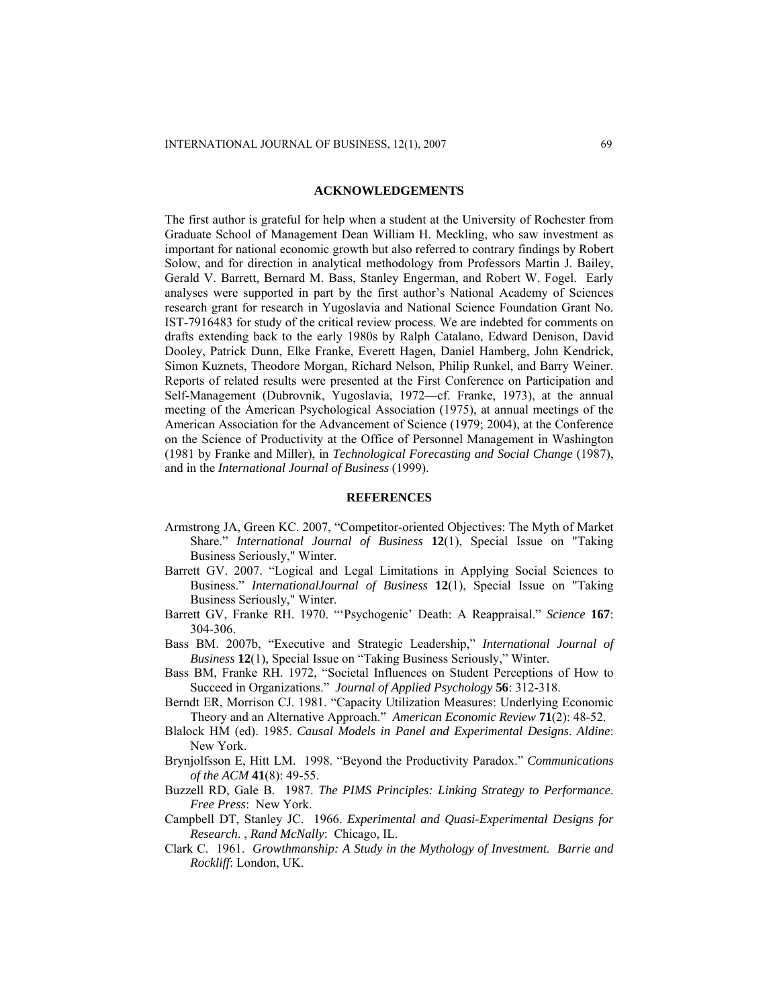#### **ACKNOWLEDGEMENTS**

The first author is grateful for help when a student at the University of Rochester from Graduate School of Management Dean William H. Meckling, who saw investment as important for national economic growth but also referred to contrary findings by Robert Solow, and for direction in analytical methodology from Professors Martin J. Bailey, Gerald V. Barrett, Bernard M. Bass, Stanley Engerman, and Robert W. Fogel. Early analyses were supported in part by the first author's National Academy of Sciences research grant for research in Yugoslavia and National Science Foundation Grant No. IST-7916483 for study of the critical review process. We are indebted for comments on drafts extending back to the early 1980s by Ralph Catalano, Edward Denison, David Dooley, Patrick Dunn, Elke Franke, Everett Hagen, Daniel Hamberg, John Kendrick, Simon Kuznets, Theodore Morgan, Richard Nelson, Philip Runkel, and Barry Weiner. Reports of related results were presented at the First Conference on Participation and Self-Management (Dubrovnik, Yugoslavia, 1972—cf. Franke, 1973), at the annual meeting of the American Psychological Association (1975), at annual meetings of the American Association for the Advancement of Science (1979; 2004), at the Conference on the Science of Productivity at the Office of Personnel Management in Washington (1981 by Franke and Miller), in *Technological Forecasting and Social Change* (1987), and in the *International Journal of Business* (1999).

# **REFERENCES**

- Armstrong JA, Green KC. 2007, "Competitor-oriented Objectives: The Myth of Market Share." *International Journal of Business* **12**(1), Special Issue on "Taking Business Seriously," Winter.
- Barrett GV. 2007. "Logical and Legal Limitations in Applying Social Sciences to Business." *InternationalJournal of Business* **12**(1), Special Issue on "Taking Business Seriously," Winter.
- Barrett GV, Franke RH. 1970. "'Psychogenic' Death: A Reappraisal." *Science* **167**: 304-306.
- Bass BM. 2007b, "Executive and Strategic Leadership," *International Journal of Business* **12**(1), Special Issue on "Taking Business Seriously," Winter.
- Bass BM, Franke RH. 1972, "Societal Influences on Student Perceptions of How to Succeed in Organizations." *Journal of Applied Psychology* **56**: 312-318.
- Berndt ER, Morrison CJ. 1981. "Capacity Utilization Measures: Underlying Economic Theory and an Alternative Approach." *American Economic Review* **71**(2): 48-52.
- Blalock HM (ed). 1985. *Causal Models in Panel and Experimental Designs*. *Aldine*: New York.
- Brynjolfsson E, Hitt LM. 1998. "Beyond the Productivity Paradox." *Communications of the ACM* **41**(8): 49-55.
- Buzzell RD, Gale B. 1987. *The PIMS Principles: Linking Strategy to Performance*. *Free Press*: New York.
- Campbell DT, Stanley JC. 1966. *Experimental and Quasi-Experimental Designs for Research*. , *Rand McNally*: Chicago, IL.
- Clark C. 1961. *Growthmanship: A Study in the Mythology of Investment*. *Barrie and Rockliff*: London, UK.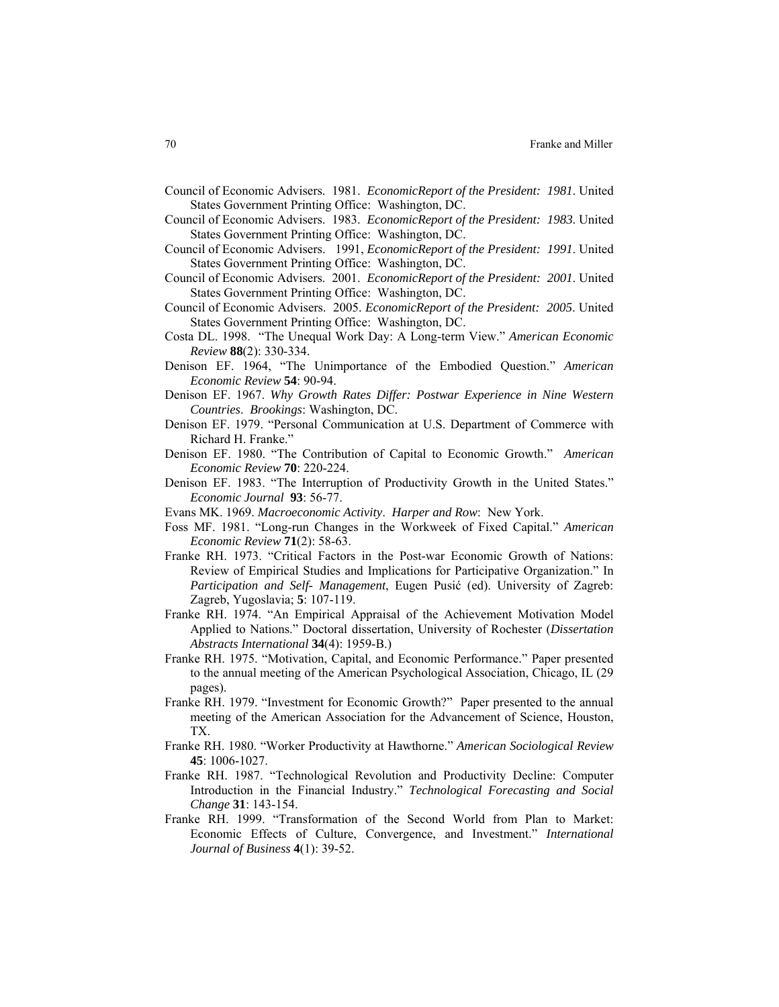- Council of Economic Advisers. 1981. *EconomicReport of the President: 1981*. United States Government Printing Office: Washington, DC.
- Council of Economic Advisers. 1983. *EconomicReport of the President: 1983*. United States Government Printing Office: Washington, DC.
- Council of Economic Advisers. 1991, *EconomicReport of the President: 1991*. United States Government Printing Office: Washington, DC.
- Council of Economic Advisers. 2001. *EconomicReport of the President: 2001*. United States Government Printing Office: Washington, DC.
- Council of Economic Advisers. 2005. *EconomicReport of the President: 2005*. United States Government Printing Office: Washington, DC.
- Costa DL. 1998. "The Unequal Work Day: A Long-term View." *American Economic Review* **88**(2): 330-334.
- Denison EF. 1964, "The Unimportance of the Embodied Question." *American Economic Review* **54**: 90-94.
- Denison EF. 1967. *Why Growth Rates Differ: Postwar Experience in Nine Western Countries*. *Brookings*: Washington, DC.
- Denison EF. 1979. "Personal Communication at U.S. Department of Commerce with Richard H. Franke."
- Denison EF. 1980. "The Contribution of Capital to Economic Growth." *American Economic Review* **70**: 220-224.
- Denison EF. 1983. "The Interruption of Productivity Growth in the United States." *Economic Journal* **93**: 56-77.
- Evans MK. 1969. *Macroeconomic Activity*. *Harper and Row*: New York.
- Foss MF. 1981. "Long-run Changes in the Workweek of Fixed Capital." *American Economic Review* **71**(2): 58-63.
- Franke RH. 1973. "Critical Factors in the Post-war Economic Growth of Nations: Review of Empirical Studies and Implications for Participative Organization." In *Participation and Self- Management*, Eugen Pusić (ed). University of Zagreb: Zagreb, Yugoslavia; **5**: 107-119.
- Franke RH. 1974. "An Empirical Appraisal of the Achievement Motivation Model Applied to Nations." Doctoral dissertation, University of Rochester (*Dissertation Abstracts International* **34**(4): 1959-B.)
- Franke RH. 1975. "Motivation, Capital, and Economic Performance." Paper presented to the annual meeting of the American Psychological Association, Chicago, IL (29 pages).
- Franke RH. 1979. "Investment for Economic Growth?" Paper presented to the annual meeting of the American Association for the Advancement of Science, Houston, TX.
- Franke RH. 1980. "Worker Productivity at Hawthorne." *American Sociological Review*  **45**: 1006-1027.
- Franke RH. 1987. "Technological Revolution and Productivity Decline: Computer Introduction in the Financial Industry." *Technological Forecasting and Social Change* **31**: 143-154.
- Franke RH. 1999. "Transformation of the Second World from Plan to Market: Economic Effects of Culture, Convergence, and Investment." *International Journal of Business* **4**(1): 39-52.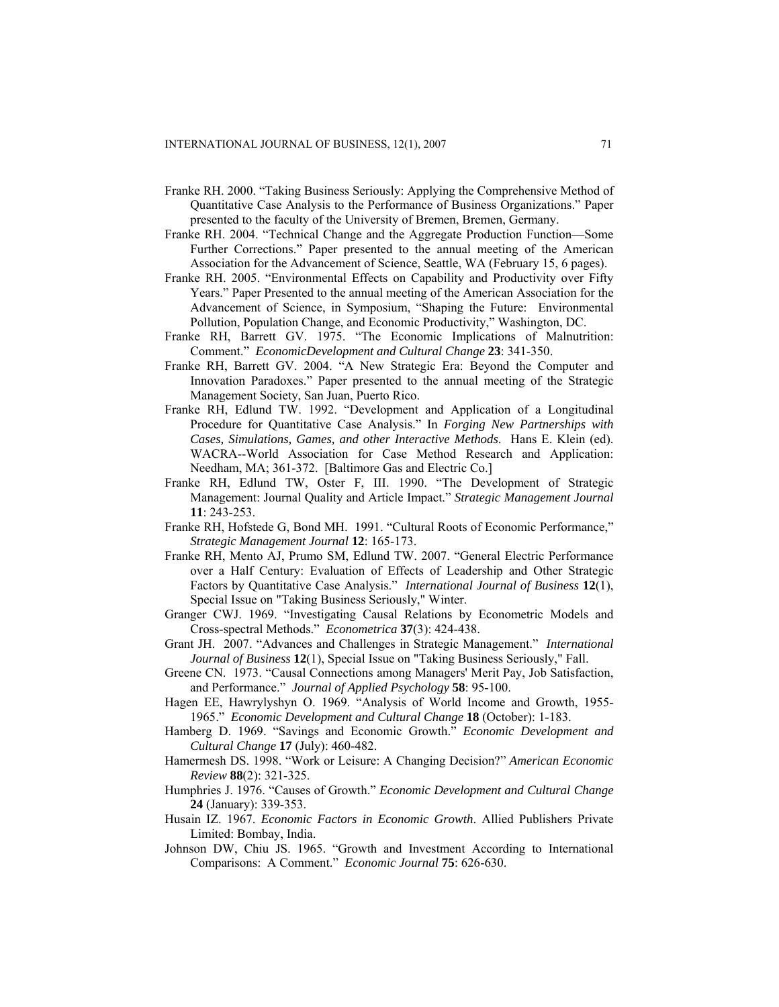- Franke RH. 2000. "Taking Business Seriously: Applying the Comprehensive Method of Quantitative Case Analysis to the Performance of Business Organizations." Paper presented to the faculty of the University of Bremen, Bremen, Germany.
- Franke RH. 2004. "Technical Change and the Aggregate Production Function—Some Further Corrections." Paper presented to the annual meeting of the American Association for the Advancement of Science, Seattle, WA (February 15, 6 pages).
- Franke RH. 2005. "Environmental Effects on Capability and Productivity over Fifty Years." Paper Presented to the annual meeting of the American Association for the Advancement of Science, in Symposium, "Shaping the Future: Environmental Pollution, Population Change, and Economic Productivity," Washington, DC.
- Franke RH, Barrett GV. 1975. "The Economic Implications of Malnutrition: Comment." *EconomicDevelopment and Cultural Change* **23**: 341-350.
- Franke RH, Barrett GV. 2004. "A New Strategic Era: Beyond the Computer and Innovation Paradoxes." Paper presented to the annual meeting of the Strategic Management Society, San Juan, Puerto Rico.
- Franke RH, Edlund TW. 1992. "Development and Application of a Longitudinal Procedure for Quantitative Case Analysis." In *Forging New Partnerships with Cases, Simulations, Games, and other Interactive Methods*. Hans E. Klein (ed). WACRA--World Association for Case Method Research and Application: Needham, MA; 361-372. [Baltimore Gas and Electric Co.]
- Franke RH, Edlund TW, Oster F, III. 1990. "The Development of Strategic Management: Journal Quality and Article Impact." *Strategic Management Journal*  **11**: 243-253.
- Franke RH, Hofstede G, Bond MH. 1991. "Cultural Roots of Economic Performance," *Strategic Management Journal* **12**: 165-173.
- Franke RH, Mento AJ, Prumo SM, Edlund TW. 2007. "General Electric Performance over a Half Century: Evaluation of Effects of Leadership and Other Strategic Factors by Quantitative Case Analysis." *International Journal of Business* **12**(1), Special Issue on "Taking Business Seriously," Winter.
- Granger CWJ. 1969. "Investigating Causal Relations by Econometric Models and Cross-spectral Methods." *Econometrica* **37**(3): 424-438.
- Grant JH. 2007. "Advances and Challenges in Strategic Management." *International Journal of Business* **12**(1), Special Issue on "Taking Business Seriously," Fall.
- Greene CN. 1973. "Causal Connections among Managers' Merit Pay, Job Satisfaction, and Performance." *Journal of Applied Psychology* **58**: 95-100.
- Hagen EE, Hawrylyshyn O. 1969. "Analysis of World Income and Growth, 1955- 1965." *Economic Development and Cultural Change* **18** (October): 1-183.
- Hamberg D. 1969. "Savings and Economic Growth." *Economic Development and Cultural Change* **17** (July): 460-482.
- Hamermesh DS. 1998. "Work or Leisure: A Changing Decision?" *American Economic Review* **88**(2): 321-325.
- Humphries J. 1976. "Causes of Growth." *Economic Development and Cultural Change* **24** (January): 339-353.
- Husain IZ. 1967. *Economic Factors in Economic Growth*. Allied Publishers Private Limited: Bombay, India.
- Johnson DW, Chiu JS. 1965. "Growth and Investment According to International Comparisons: A Comment." *Economic Journal* **75**: 626-630.